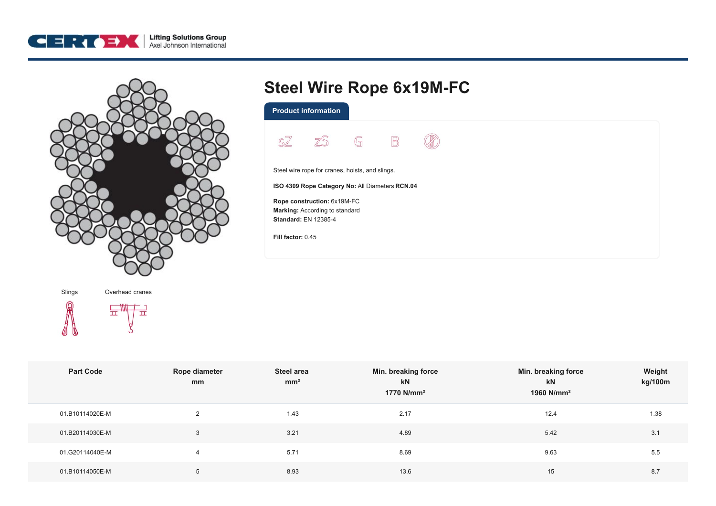



## **Steel Wire Rope 6x19M-FC**

**Product information**



Steel wire rope for cranes, hoists, and slings.

**ISO 4309 Rope Category No:** All Diameters **RCN.04**

**Rope construction:** 6x19M-FC **Marking:** According to standard **Standard:** EN 12385-4

**Fill factor:** 0.45

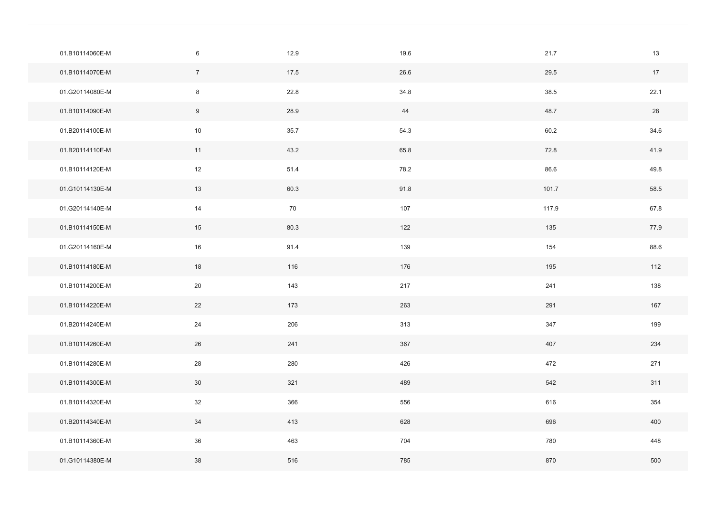| 01.B10114060E-M | $\,6\,$         | 12.9 | 19.6 | 21.7  | 13   |
|-----------------|-----------------|------|------|-------|------|
| 01.B10114070E-M | $7\overline{ }$ | 17.5 | 26.6 | 29.5  | 17   |
| 01.G20114080E-M | $\bf 8$         | 22.8 | 34.8 | 38.5  | 22.1 |
| 01.B10114090E-M | 9               | 28.9 | 44   | 48.7  | 28   |
| 01.B20114100E-M | $10$            | 35.7 | 54.3 | 60.2  | 34.6 |
| 01.B20114110E-M | 11              | 43.2 | 65.8 | 72.8  | 41.9 |
| 01.B10114120E-M | 12              | 51.4 | 78.2 | 86.6  | 49.8 |
| 01.G10114130E-M | 13              | 60.3 | 91.8 | 101.7 | 58.5 |
| 01.G20114140E-M | 14              | 70   | 107  | 117.9 | 67.8 |
| 01.B10114150E-M | 15              | 80.3 | 122  | 135   | 77.9 |
| 01.G20114160E-M | $16\,$          | 91.4 | 139  | 154   | 88.6 |
| 01.B10114180E-M | 18              | 116  | 176  | 195   | 112  |
| 01.B10114200E-M | 20              | 143  | 217  | 241   | 138  |
| 01.B10114220E-M | 22              | 173  | 263  | 291   | 167  |
| 01.B20114240E-M | $24\,$          | 206  | 313  | 347   | 199  |
| 01.B10114260E-M | 26              | 241  | 367  | 407   | 234  |
| 01.B10114280E-M | 28              | 280  | 426  | 472   | 271  |
| 01.B10114300E-M | 30              | 321  | 489  | 542   | 311  |
| 01.B10114320E-M | 32              | 366  | 556  | 616   | 354  |
| 01.B20114340E-M | 34              | 413  | 628  | 696   | 400  |
| 01.B10114360E-M | 36              | 463  | 704  | 780   | 448  |
| 01.G10114380E-M | 38              | 516  | 785  | 870   | 500  |